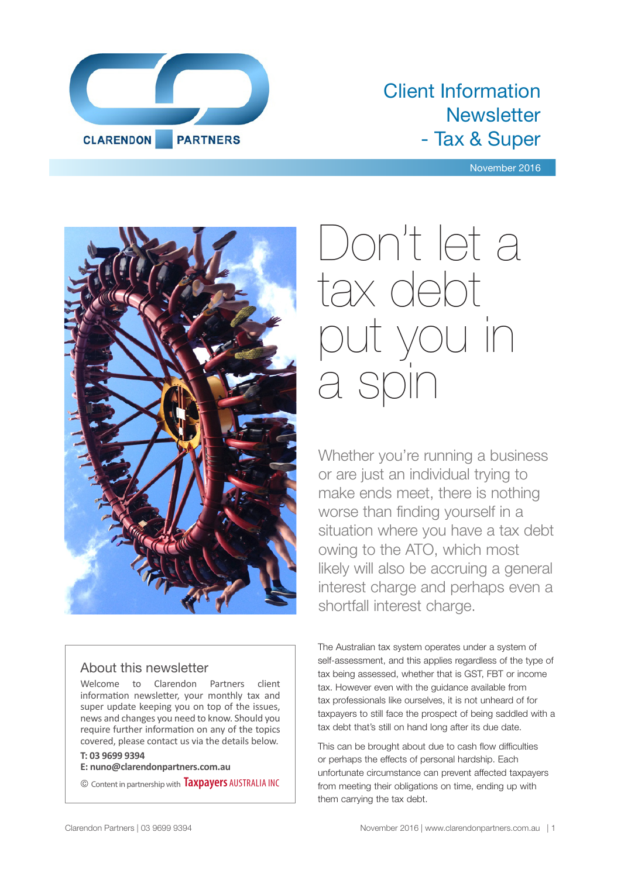

### Client Information **Newsletter** - Tax & Super

November 2016



#### About this newsletter

Welcome to Clarendon Partners client information newsletter, your monthly tax and super update keeping you on top of the issues, news and changes you need to know. Should you require further information on any of the topics covered, please contact us via the details below.

#### **T: 03 9699 9394**

**E: nuno@clarendonpartners.com.au**

© Content in partnership with **Taxpayers** AUSTRALIA INC

# Don't let a tax debt you in a s

Whether you're running a business or are just an individual trying to make ends meet, there is nothing worse than finding yourself in a situation where you have a tax debt owing to the ATO, which most likely will also be accruing a general interest charge and perhaps even a shortfall interest charge.

The Australian tax system operates under a system of self-assessment, and this applies regardless of the type of tax being assessed, whether that is GST, FBT or income tax. However even with the guidance available from tax professionals like ourselves, it is not unheard of for taxpayers to still face the prospect of being saddled with a tax debt that's still on hand long after its due date.

This can be brought about due to cash flow difficulties or perhaps the effects of personal hardship. Each unfortunate circumstance can prevent affected taxpayers from meeting their obligations on time, ending up with them carrying the tax debt.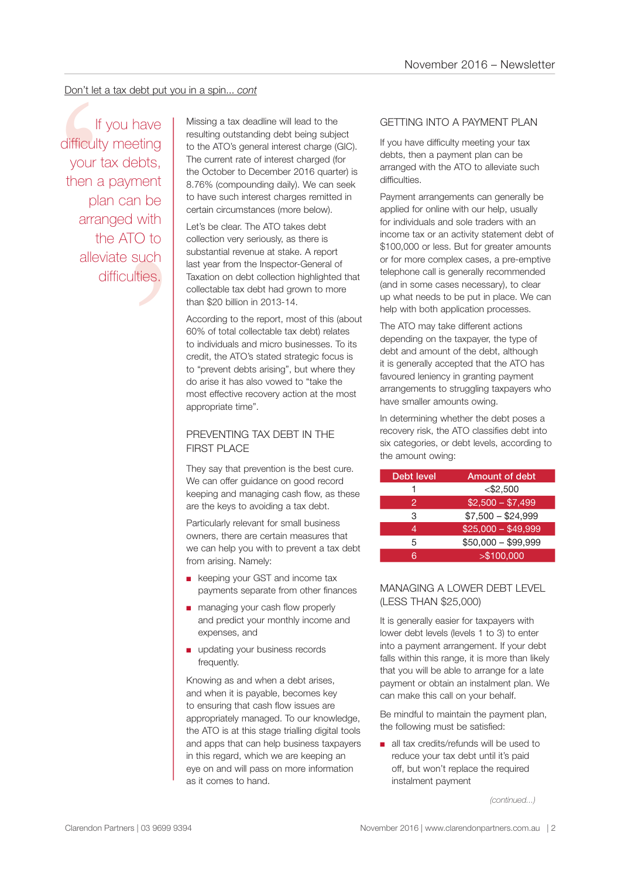#### Don't let a tax debt put you in a spin... *cont*

n be<br>
n be<br>
with<br>
O to<br>
such<br>
ties. Don't let a tax debt put you in a spin... cont<br>
If you have<br>
If you have<br>
If would have<br>
If itsing a tax deadline will lead to the<br>
resulting outstanding debt being subject to the ATO's general interest charged (for<br>
the A If you have difficulty meeting your tax debts, then a payment plan can be arranged with the ATO to alleviate such difficulties.

resulting outstanding debt being subject to the ATO's general interest charge (GIC). The current rate of interest charged (for the October to December 2016 quarter) is 8.76% (compounding daily). We can seek to have such interest charges remitted in certain circumstances (more below).

Let's be clear. The ATO takes debt collection very seriously, as there is substantial revenue at stake. A report last year from the Inspector-General of Taxation on debt collection highlighted that collectable tax debt had grown to more than \$20 billion in 2013-14.

According to the report, most of this (about 60% of total collectable tax debt) relates to individuals and micro businesses. To its credit, the ATO's stated strategic focus is to "prevent debts arising", but where they do arise it has also vowed to "take the most effective recovery action at the most appropriate time".

#### PREVENTING TAX DEBT IN THE **FIRST PLACE**

They say that prevention is the best cure. We can offer guidance on good record keeping and managing cash flow, as these are the keys to avoiding a tax debt.

Particularly relevant for small business owners, there are certain measures that we can help you with to prevent a tax debt from arising. Namely:

- keeping your GST and income tax payments separate from other finances
- managing your cash flow properly and predict your monthly income and expenses, and
- updating your business records frequently.

Knowing as and when a debt arises, and when it is payable, becomes key to ensuring that cash flow issues are appropriately managed. To our knowledge, the ATO is at this stage trialling digital tools and apps that can help business taxpayers in this regard, which we are keeping an eye on and will pass on more information as it comes to hand.

#### GETTING INTO A PAYMENT PLAN

If you have difficulty meeting your tax debts, then a payment plan can be arranged with the ATO to alleviate such difficulties.

Payment arrangements can generally be applied for online with our help, usually for individuals and sole traders with an income tax or an activity statement debt of \$100,000 or less. But for greater amounts or for more complex cases, a pre-emptive telephone call is generally recommended (and in some cases necessary), to clear up what needs to be put in place. We can help with both application processes.

The ATO may take different actions depending on the taxpayer, the type of debt and amount of the debt, although it is generally accepted that the ATO has favoured leniency in granting payment arrangements to struggling taxpayers who have smaller amounts owing.

In determining whether the debt poses a recovery risk, the ATO classifies debt into six categories, or debt levels, according to the amount owing:

| Debt level | Amount of debt      |
|------------|---------------------|
|            | $<$ \$2,500         |
| 2          | $$2,500 - $7,499$   |
| 3          | $$7,500 - $24,999$  |
| 4          | $$25,000 - $49,999$ |
| 5          | $$50,000 - $99,999$ |
| ิล         | > \$100,000         |

#### MANAGING A LOWER DEBT LEVEL (LESS THAN \$25,000)

It is generally easier for taxpayers with lower debt levels (levels 1 to 3) to enter into a payment arrangement. If your debt falls within this range, it is more than likely that you will be able to arrange for a late payment or obtain an instalment plan. We can make this call on your behalf.

Be mindful to maintain the payment plan, the following must be satisfied:

■ all tax credits/refunds will be used to reduce your tax debt until it's paid off, but won't replace the required instalment payment

*(continued...)*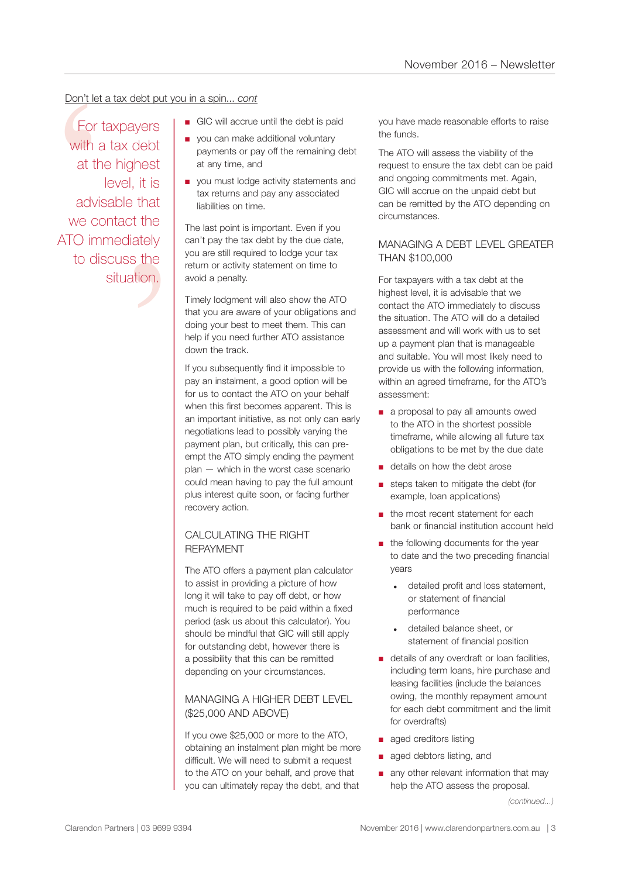#### Don't let a tax debt put you in a spin... *cont*

that<br>t the<br>ately<br>s the<br>tion. Don't let a<br>
For ta<br>
with a<br>
at the<br>
advis<br>
we con<br>
ATO imm<br>
to dis For taxpayers with a tax debt at the highest level, it is advisable that we contact the ATO immediately to discuss the situation.

- GIC will accrue until the debt is paid
- you can make additional voluntary payments or pay off the remaining debt at any time, and
- you must lodge activity statements and tax returns and pay any associated liabilities on time.

The last point is important. Even if you can't pay the tax debt by the due date, you are still required to lodge your tax return or activity statement on time to avoid a penalty.

Timely lodgment will also show the ATO that you are aware of your obligations and doing your best to meet them. This can help if you need further ATO assistance down the track.

If you subsequently find it impossible to pay an instalment, a good option will be for us to contact the ATO on your behalf when this first becomes apparent. This is an important initiative, as not only can early negotiations lead to possibly varying the payment plan, but critically, this can preempt the ATO simply ending the payment plan — which in the worst case scenario could mean having to pay the full amount plus interest quite soon, or facing further recovery action.

#### CALCULATING THE RIGHT REPAYMENT

The ATO offers a payment plan calculator to assist in providing a picture of how long it will take to pay off debt, or how much is required to be paid within a fixed period (ask us about this calculator). You should be mindful that GIC will still apply for outstanding debt, however there is a possibility that this can be remitted depending on your circumstances.

#### MANAGING A HIGHER DEBT LEVEL (\$25,000 AND ABOVE)

If you owe \$25,000 or more to the ATO, obtaining an instalment plan might be more difficult. We will need to submit a request to the ATO on your behalf, and prove that you can ultimately repay the debt, and that

you have made reasonable efforts to raise the funds.

The ATO will assess the viability of the request to ensure the tax debt can be paid and ongoing commitments met. Again, GIC will accrue on the unpaid debt but can be remitted by the ATO depending on circumstances.

#### MANAGING A DEBT LEVEL GREATER THAN \$100,000

For taxpayers with a tax debt at the highest level, it is advisable that we contact the ATO immediately to discuss the situation. The ATO will do a detailed assessment and will work with us to set up a payment plan that is manageable and suitable. You will most likely need to provide us with the following information, within an agreed timeframe, for the ATO's assessment:

- a proposal to pay all amounts owed to the ATO in the shortest possible timeframe, while allowing all future tax obligations to be met by the due date
- details on how the debt arose
- steps taken to mitigate the debt (for example, loan applications)
- the most recent statement for each bank or financial institution account held
- the following documents for the year to date and the two preceding financial years
	- detailed profit and loss statement, or statement of financial performance
	- detailed balance sheet, or statement of financial position
- details of any overdraft or loan facilities, including term loans, hire purchase and leasing facilities (include the balances owing, the monthly repayment amount for each debt commitment and the limit for overdrafts)
- aged creditors listing
- aged debtors listing, and
- any other relevant information that may help the ATO assess the proposal.

*(continued...)*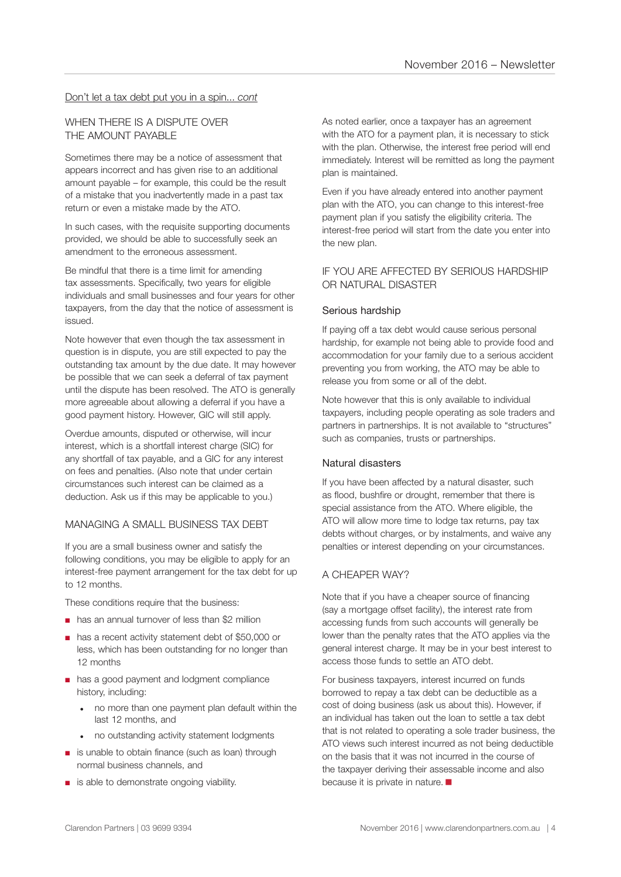#### Don't let a tax debt put you in a spin... *cont*

#### WHEN THERE IS A DISPUTE OVER THE AMOUNT PAYABLE

Sometimes there may be a notice of assessment that appears incorrect and has given rise to an additional amount payable – for example, this could be the result of a mistake that you inadvertently made in a past tax return or even a mistake made by the ATO.

In such cases, with the requisite supporting documents provided, we should be able to successfully seek an amendment to the erroneous assessment.

Be mindful that there is a time limit for amending tax assessments. Specifically, two years for eligible individuals and small businesses and four years for other taxpayers, from the day that the notice of assessment is issued.

Note however that even though the tax assessment in question is in dispute, you are still expected to pay the outstanding tax amount by the due date. It may however be possible that we can seek a deferral of tax payment until the dispute has been resolved. The ATO is generally more agreeable about allowing a deferral if you have a good payment history. However, GIC will still apply.

Overdue amounts, disputed or otherwise, will incur interest, which is a shortfall interest charge (SIC) for any shortfall of tax payable, and a GIC for any interest on fees and penalties. (Also note that under certain circumstances such interest can be claimed as a deduction. Ask us if this may be applicable to you.)

#### MANAGING A SMALL BUSINESS TAX DEBT

If you are a small business owner and satisfy the following conditions, you may be eligible to apply for an interest-free payment arrangement for the tax debt for up to 12 months.

These conditions require that the business:

- has an annual turnover of less than \$2 million
- has a recent activity statement debt of \$50,000 or less, which has been outstanding for no longer than 12 months
- has a good payment and lodgment compliance history, including:
	- no more than one payment plan default within the last 12 months, and
	- no outstanding activity statement lodgments
- is unable to obtain finance (such as loan) through normal business channels, and
- is able to demonstrate ongoing viability.

As noted earlier, once a taxpayer has an agreement with the ATO for a payment plan, it is necessary to stick with the plan. Otherwise, the interest free period will end immediately. Interest will be remitted as long the payment plan is maintained.

Even if you have already entered into another payment plan with the ATO, you can change to this interest-free payment plan if you satisfy the eligibility criteria. The interest-free period will start from the date you enter into the new plan.

#### IF YOU ARE AFFECTED BY SERIOUS HARDSHIP OR NATURAL DISASTER

#### Serious hardship

If paying off a tax debt would cause serious personal hardship, for example not being able to provide food and accommodation for your family due to a serious accident preventing you from working, the ATO may be able to release you from some or all of the debt.

Note however that this is only available to individual taxpayers, including people operating as sole traders and partners in partnerships. It is not available to "structures" such as companies, trusts or partnerships.

#### Natural disasters

If you have been affected by a natural disaster, such as flood, bushfire or drought, remember that there is special assistance from the ATO. Where eligible, the ATO will allow more time to lodge tax returns, pay tax debts without charges, or by instalments, and waive any penalties or interest depending on your circumstances.

#### A CHEAPER WAY?

Note that if you have a cheaper source of financing (say a mortgage offset facility), the interest rate from accessing funds from such accounts will generally be lower than the penalty rates that the ATO applies via the general interest charge. It may be in your best interest to access those funds to settle an ATO debt.

For business taxpayers, interest incurred on funds borrowed to repay a tax debt can be deductible as a cost of doing business (ask us about this). However, if an individual has taken out the loan to settle a tax debt that is not related to operating a sole trader business, the ATO views such interest incurred as not being deductible on the basis that it was not incurred in the course of the taxpayer deriving their assessable income and also because it is private in nature.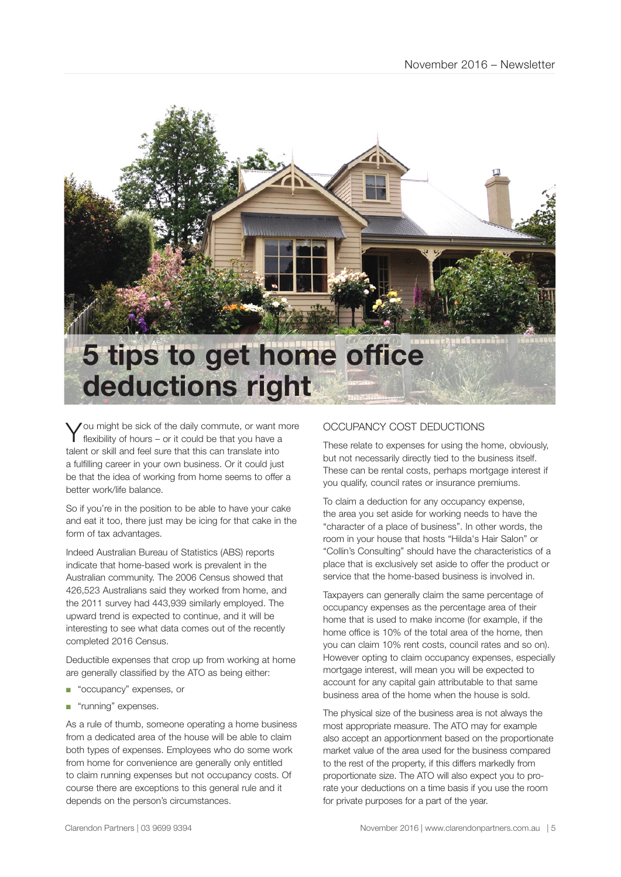

You might be sick of the daily commute, or want more flexibility of hours – or it could be that you have a talent or skill and feel sure that this can translate into a fulfilling career in your own business. Or it could just be that the idea of working from home seems to offer a better work/life balance.

So if you're in the position to be able to have your cake and eat it too, there just may be icing for that cake in the form of tax advantages.

Indeed Australian Bureau of Statistics (ABS) reports indicate that home-based work is prevalent in the Australian community. The 2006 Census showed that 426,523 Australians said they worked from home, and the 2011 survey had 443,939 similarly employed. The upward trend is expected to continue, and it will be interesting to see what data comes out of the recently completed 2016 Census.

Deductible expenses that crop up from working at home are generally classified by the ATO as being either:

- "occupancy" expenses, or
- "running" expenses.

As a rule of thumb, someone operating a home business from a dedicated area of the house will be able to claim both types of expenses. Employees who do some work from home for convenience are generally only entitled to claim running expenses but not occupancy costs. Of course there are exceptions to this general rule and it depends on the person's circumstances.

#### OCCUPANCY COST DEDUCTIONS

These relate to expenses for using the home, obviously, but not necessarily directly tied to the business itself. These can be rental costs, perhaps mortgage interest if you qualify, council rates or insurance premiums.

To claim a deduction for any occupancy expense, the area you set aside for working needs to have the "character of a place of business". In other words, the room in your house that hosts "Hilda's Hair Salon" or "Collin's Consulting" should have the characteristics of a place that is exclusively set aside to offer the product or service that the home-based business is involved in.

Taxpayers can generally claim the same percentage of occupancy expenses as the percentage area of their home that is used to make income (for example, if the home office is 10% of the total area of the home, then you can claim 10% rent costs, council rates and so on). However opting to claim occupancy expenses, especially mortgage interest, will mean you will be expected to account for any capital gain attributable to that same business area of the home when the house is sold.

The physical size of the business area is not always the most appropriate measure. The ATO may for example also accept an apportionment based on the proportionate market value of the area used for the business compared to the rest of the property, if this differs markedly from proportionate size. The ATO will also expect you to prorate your deductions on a time basis if you use the room for private purposes for a part of the year.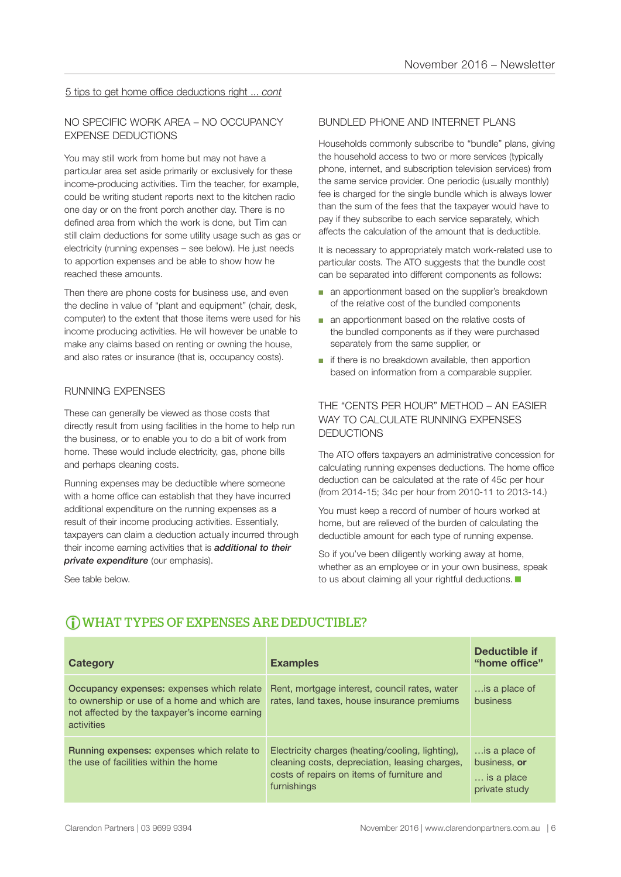#### 5 tips to get home office deductions right ... *cont*

#### NO SPECIFIC WORK AREA – NO OCCUPANCY EXPENSE DEDUCTIONS

You may still work from home but may not have a particular area set aside primarily or exclusively for these income-producing activities. Tim the teacher, for example, could be writing student reports next to the kitchen radio one day or on the front porch another day. There is no defined area from which the work is done, but Tim can still claim deductions for some utility usage such as gas or electricity (running expenses – see below). He just needs to apportion expenses and be able to show how he reached these amounts.

Then there are phone costs for business use, and even the decline in value of "plant and equipment" (chair, desk, computer) to the extent that those items were used for his income producing activities. He will however be unable to make any claims based on renting or owning the house, and also rates or insurance (that is, occupancy costs).

#### RUNNING EXPENSES

These can generally be viewed as those costs that directly result from using facilities in the home to help run the business, or to enable you to do a bit of work from home. These would include electricity, gas, phone bills and perhaps cleaning costs.

Running expenses may be deductible where someone with a home office can establish that they have incurred additional expenditure on the running expenses as a result of their income producing activities. Essentially, taxpayers can claim a deduction actually incurred through their income earning activities that is *additional to their private expenditure* (our emphasis).

See table below.

#### BUNDLED PHONE AND INTERNET PLANS

Households commonly subscribe to "bundle" plans, giving the household access to two or more services (typically phone, internet, and subscription television services) from the same service provider. One periodic (usually monthly) fee is charged for the single bundle which is always lower than the sum of the fees that the taxpayer would have to pay if they subscribe to each service separately, which affects the calculation of the amount that is deductible.

It is necessary to appropriately match work-related use to particular costs. The ATO suggests that the bundle cost can be separated into different components as follows:

- an apportionment based on the supplier's breakdown of the relative cost of the bundled components
- an apportionment based on the relative costs of the bundled components as if they were purchased separately from the same supplier, or
- if there is no breakdown available, then apportion based on information from a comparable supplier.

#### THE "CENTS PER HOUR" METHOD – AN EASIER WAY TO CALCULATE RUNNING EXPENSES DEDUCTIONS

The ATO offers taxpayers an administrative concession for calculating running expenses deductions. The home office deduction can be calculated at the rate of 45c per hour (from 2014-15; 34c per hour from 2010-11 to 2013-14.)

You must keep a record of number of hours worked at home, but are relieved of the burden of calculating the deductible amount for each type of running expense.

So if you've been diligently working away at home, whether as an employee or in your own business, speak to us about claiming all your rightful deductions.

| Category                                                                                                                                                | <b>Examples</b>                                                                                                                                                 | <b>Deductible if</b><br>"home office"                        |
|---------------------------------------------------------------------------------------------------------------------------------------------------------|-----------------------------------------------------------------------------------------------------------------------------------------------------------------|--------------------------------------------------------------|
| Occupancy expenses: expenses which relate<br>to ownership or use of a home and which are<br>not affected by the taxpayer's income earning<br>activities | Rent, mortgage interest, council rates, water<br>rates, land taxes, house insurance premiums                                                                    | is a place of<br>business                                    |
| <b>Running expenses: expenses which relate to</b><br>the use of facilities within the home                                                              | Electricity charges (heating/cooling, lighting),<br>cleaning costs, depreciation, leasing charges,<br>costs of repairs on items of furniture and<br>furnishings | is a place of<br>business, or<br>is a place<br>private study |

#### WHAT TYPES OF EXPENSES ARE DEDUCTIBLE?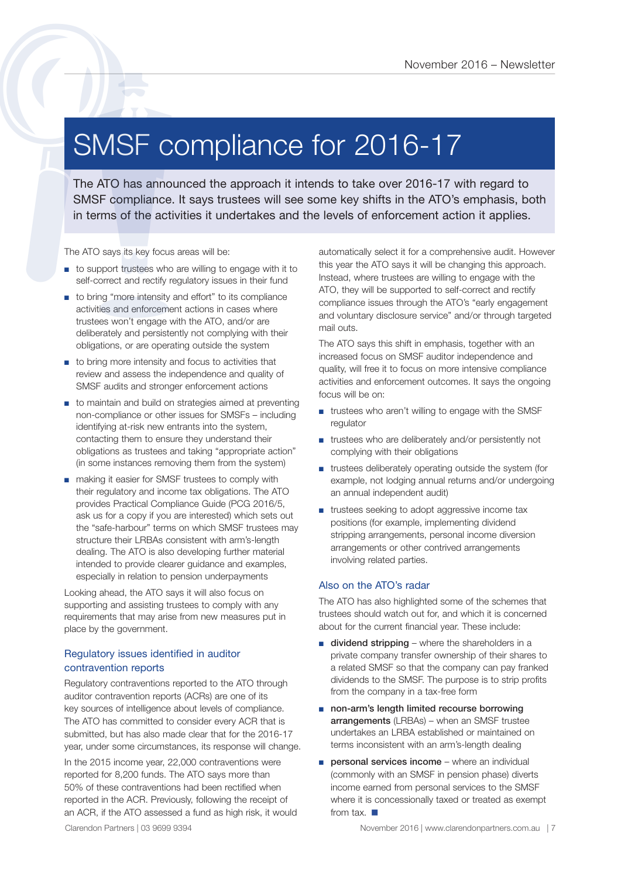### SMSF compliance for 2016-17

The ATO has announced the approach it intends to take over 2016-17 with regard to SMSF compliance for 2016 - Newslette<br>
SMSF compliance the approach it intends to take over 2016-17 with regard to<br>
SMSF compliance. It says trustees will see some key shifts in the ATO's emphasis, both<br>
in terms of the act

The ATO says its key focus areas will be:

- to support trustees who are willing to engage with it to self-correct and rectify regulatory issues in their fund
- to bring "more intensity and effort" to its compliance activities and enforcement actions in cases where trustees won't engage with the ATO, and/or are deliberately and persistently not complying with their obligations, or are operating outside the system
- to bring more intensity and focus to activities that review and assess the independence and quality of SMSF audits and stronger enforcement actions
- to maintain and build on strategies aimed at preventing non-compliance or other issues for SMSFs – including identifying at-risk new entrants into the system, contacting them to ensure they understand their obligations as trustees and taking "appropriate action" (in some instances removing them from the system)
- making it easier for SMSF trustees to comply with their regulatory and income tax obligations. The ATO provides Practical Compliance Guide (PCG 2016/5, ask us for a copy if you are interested) which sets out the "safe-harbour" terms on which SMSF trustees may structure their LRBAs consistent with arm's-length dealing. The ATO is also developing further material intended to provide clearer guidance and examples, especially in relation to pension underpayments

Looking ahead, the ATO says it will also focus on supporting and assisting trustees to comply with any requirements that may arise from new measures put in place by the government.

#### Regulatory issues identified in auditor contravention reports

Regulatory contraventions reported to the ATO through auditor contravention reports (ACRs) are one of its key sources of intelligence about levels of compliance. The ATO has committed to consider every ACR that is submitted, but has also made clear that for the 2016-17 year, under some circumstances, its response will change.

In the 2015 income year, 22,000 contraventions were reported for 8,200 funds. The ATO says more than 50% of these contraventions had been rectified when reported in the ACR. Previously, following the receipt of an ACR, if the ATO assessed a fund as high risk, it would automatically select it for a comprehensive audit. However this year the ATO says it will be changing this approach. Instead, where trustees are willing to engage with the ATO, they will be supported to self-correct and rectify compliance issues through the ATO's "early engagement and voluntary disclosure service" and/or through targeted mail outs.

The ATO says this shift in emphasis, together with an increased focus on SMSF auditor independence and quality, will free it to focus on more intensive compliance activities and enforcement outcomes. It says the ongoing focus will be on:

- trustees who aren't willing to engage with the SMSF regulator
- trustees who are deliberately and/or persistently not complying with their obligations
- trustees deliberately operating outside the system (for example, not lodging annual returns and/or undergoing an annual independent audit)
- trustees seeking to adopt aggressive income tax positions (for example, implementing dividend stripping arrangements, personal income diversion arrangements or other contrived arrangements involving related parties.

#### Also on the ATO's radar

The ATO has also highlighted some of the schemes that trustees should watch out for, and which it is concerned about for the current financial year. These include:

- dividend stripping where the shareholders in a private company transfer ownership of their shares to a related SMSF so that the company can pay franked dividends to the SMSF. The purpose is to strip profits from the company in a tax-free form
- non-arm's length limited recourse borrowing arrangements (LRBAs) – when an SMSF trustee undertakes an LRBA established or maintained on terms inconsistent with an arm's-length dealing
- personal services income where an individual (commonly with an SMSF in pension phase) diverts income earned from personal services to the SMSF where it is concessionally taxed or treated as exempt from tax.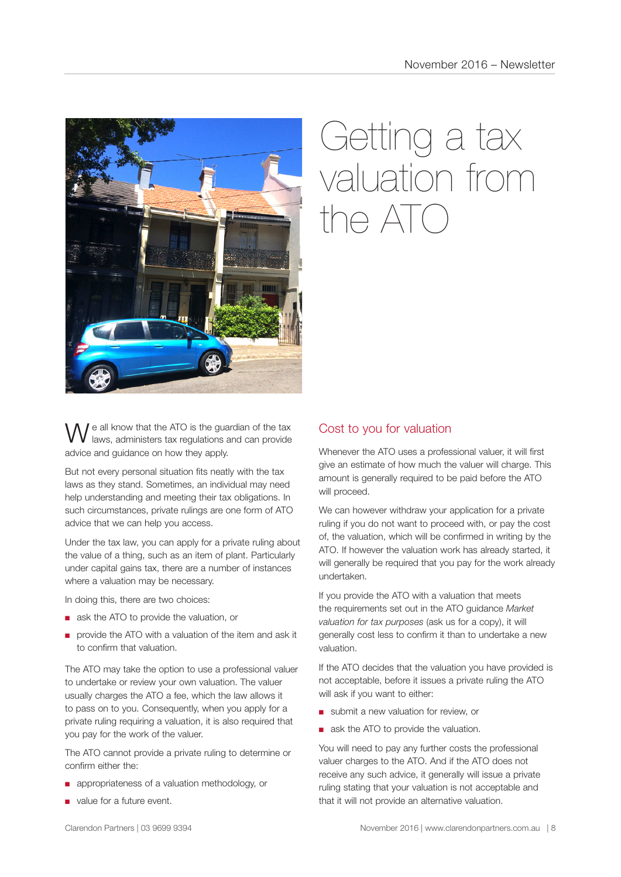

## Getting a tax valuation from  $n \in \Delta T$

e all know that the ATO is the guardian of the tax laws, administers tax regulations and can provide advice and guidance on how they apply.

But not every personal situation fits neatly with the tax laws as they stand. Sometimes, an individual may need help understanding and meeting their tax obligations. In such circumstances, private rulings are one form of ATO advice that we can help you access.

Under the tax law, you can apply for a private ruling about the value of a thing, such as an item of plant. Particularly under capital gains tax, there are a number of instances where a valuation may be necessary.

In doing this, there are two choices:

- ask the ATO to provide the valuation, or
- provide the ATO with a valuation of the item and ask it to confirm that valuation.

The ATO may take the option to use a professional valuer to undertake or review your own valuation. The valuer usually charges the ATO a fee, which the law allows it to pass on to you. Consequently, when you apply for a private ruling requiring a valuation, it is also required that you pay for the work of the valuer.

The ATO cannot provide a private ruling to determine or confirm either the:

- appropriateness of a valuation methodology, or
- value for a future event.

#### Cost to you for valuation

Whenever the ATO uses a professional valuer, it will first give an estimate of how much the valuer will charge. This amount is generally required to be paid before the ATO will proceed.

We can however withdraw your application for a private ruling if you do not want to proceed with, or pay the cost of, the valuation, which will be confirmed in writing by the ATO. If however the valuation work has already started, it will generally be required that you pay for the work already undertaken.

If you provide the ATO with a valuation that meets the requirements set out in the ATO guidance *Market valuation for tax purposes* (ask us for a copy), it will generally cost less to confirm it than to undertake a new valuation.

If the ATO decides that the valuation you have provided is not acceptable, before it issues a private ruling the ATO will ask if you want to either:

- submit a new valuation for review, or
- ask the ATO to provide the valuation.

You will need to pay any further costs the professional valuer charges to the ATO. And if the ATO does not receive any such advice, it generally will issue a private ruling stating that your valuation is not acceptable and that it will not provide an alternative valuation.